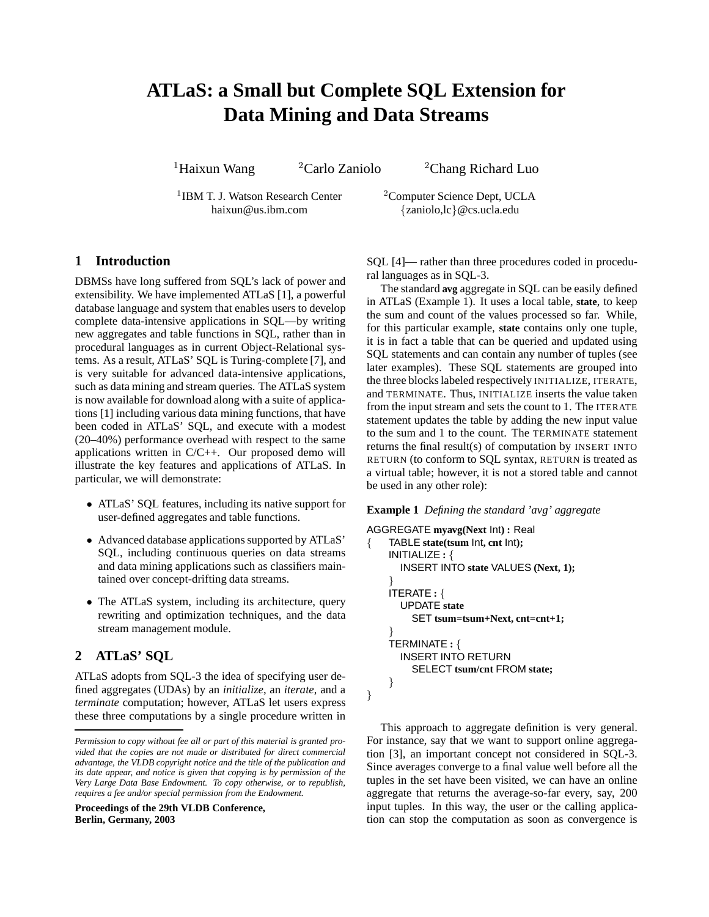# **ATLaS: a Small but Complete SQL Extension for Data Mining and Data Streams**

<sup>1</sup>Haixun Wang  $2$ Carlo Zaniolo  $2$ Chang Richard Luo

1 IBM T. J. Watson Research Center haixun@us.ibm.com

<sup>2</sup>Computer Science Dept, UCLA {zaniolo,lc}@cs.ucla.edu

# **1 Introduction**

DBMSs have long suffered from SQL's lack of power and extensibility. We have implemented ATLaS [1], a powerful database language and system that enables users to develop complete data-intensive applications in SQL—by writing new aggregates and table functions in SQL, rather than in procedural languages as in current Object-Relational systems. As a result, ATLaS' SQL is Turing-complete [7], and is very suitable for advanced data-intensive applications, such as data mining and stream queries. The ATLaS system is now available for download along with a suite of applications [1] including various data mining functions, that have been coded in ATLaS' SQL, and execute with a modest (20–40%) performance overhead with respect to the same applications written in C/C++. Our proposed demo will illustrate the key features and applications of ATLaS. In particular, we will demonstrate:

- ATLaS' SQL features, including its native support for user-defined aggregates and table functions.
- Advanced database applications supported by ATLaS' SQL, including continuous queries on data streams and data mining applications such as classifiers maintained over concept-drifting data streams.
- The ATLaS system, including its architecture, query rewriting and optimization techniques, and the data stream management module.

# **2 ATLaS' SQL**

ATLaS adopts from SQL-3 the idea of specifying user defined aggregates (UDAs) by an *initialize*, an *iterate*, and a *terminate* computation; however, ATLaS let users express these three computations by a single procedure written in

**Proceedings of the 29th VLDB Conference, Berlin, Germany, 2003**

SQL [4]— rather than three procedures coded in procedural languages as in SQL-3.

The standard **avg** aggregate in SQL can be easily defined in ATLaS (Example 1). It uses a local table, **state**, to keep the sum and count of the values processed so far. While, for this particular example, **state** contains only one tuple, it is in fact a table that can be queried and updated using SQL statements and can contain any number of tuples (see later examples). These SQL statements are grouped into the three blockslabeled respectively INITIALIZE, ITERATE, and TERMINATE. Thus, INITIALIZE inserts the value taken from the input stream and sets the count to 1. The ITERATE statement updates the table by adding the new input value to the sum and 1 to the count. The TERMINATE statement returns the final result(s) of computation by INSERT INTO RETURN (to conform to SQL syntax, RETURN is treated as a virtual table; however, it is not a stored table and cannot be used in any other role):

## **Example 1** *Defining the standard 'avg' aggregate*

AGGREGATE **myavg(Next** Int**) :** Real { TABLE **state(tsum** Int**, cnt** Int**);** INITIALIZE **:** { INSERT INTO **state** VALUES **(Next, 1);** } ITERATE **:** { UPDATE **state** SET **tsum=tsum+Next, cnt=cnt+1;** } TERMINATE **:** { INSERT INTO RETURN SELECT **tsum/cnt** FROM **state;** } }

This approach to aggregate definition is very general. For instance, say that we want to support online aggregation [3], an important concept not considered in SQL-3. Since averages converge to a final value well before all the tuples in the set have been visited, we can have an online aggregate that returns the average-so-far every, say, 200 input tuples. In this way, the user or the calling application can stop the computation as soon as convergence is

*Permission to copy without fee all or part of this material is granted provided that the copies are not made or distributed for direct commercial advantage, the VLDB copyright notice and the title of the publication and its date appear, and notice is given that copying is by permission of the Very Large Data Base Endowment. To copy otherwise, or to republish, requires a fee and/or special permission from the Endowment.*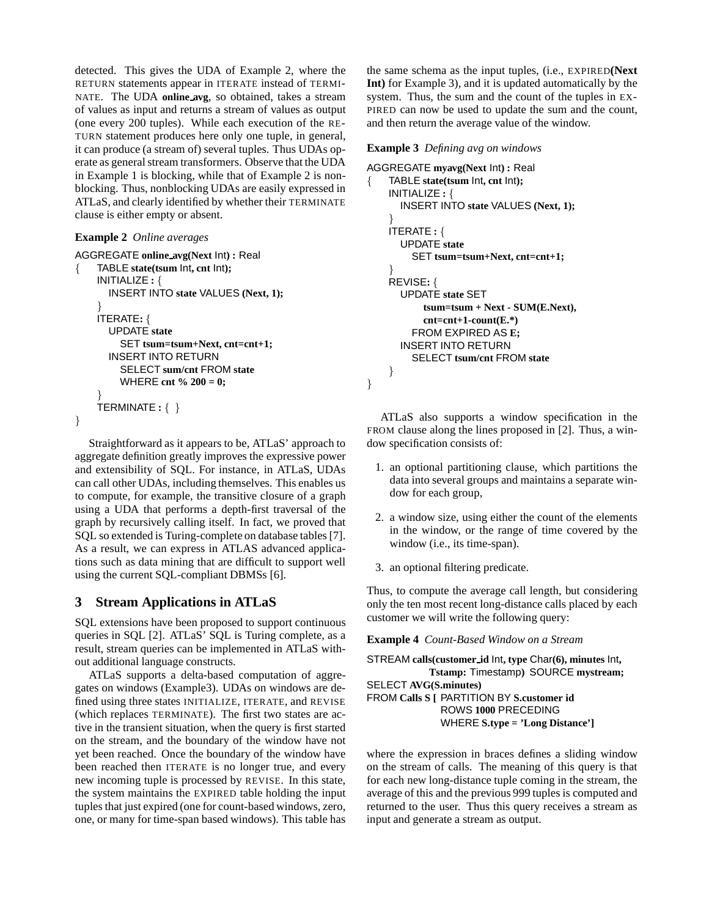detected. This gives the UDA of Example 2, where the RETURN statements appear in ITERATE instead of TERMI-NATE. The UDA **online avg**, so obtained, takes a stream of values as input and returns a stream of values as output (one every 200 tuples). While each execution of the RE-TURN statement produces here only one tuple, in general, it can produce (a stream of) several tuples. Thus UDAs operate as general stream transformers. Observe that the UDA in Example 1 is blocking, while that of Example 2 is nonblocking. Thus, nonblocking UDAs are easily expressed in ATLaS, and clearly identified by whether their TERMINATE clause is either empty or absent.

## **Example 2** *Online averages*

```
AGGREGATE online avg(Next Int) : Real
    { TABLE state(tsum Int, cnt Int);
    INITIALIZE : {
      INSERT INTO state VALUES (Next, 1);
    }
    ITERATE: {
      UPDATE state
         SET tsum=tsum+Next, cnt=cnt+1;
      INSERT INTO RETURN
         SELECT sum/cnt FROM state
         WHERE cnt % 200 = 0;
    }
    TERMINATE : { }
}
```
Straightforward as it appears to be, ATLaS' approach to aggregate definition greatly improves the expressive power and extensibility of SQL. For instance, in ATLaS, UDAs can call other UDAs, including themselves. This enables us to compute, for example, the transitive closure of a graph using a UDA that performs a depth-first traversal of the graph by recursively calling itself. In fact, we proved that SQL so extended is Turing-complete on database tables [7]. As a result, we can express in ATLAS advanced applications such as data mining that are difficult to support well using the current SQL-compliant DBMSs [6].

# **3 Stream Applications in ATLaS**

SQL extensions have been proposed to support continuous queries in SQL [2]. ATLaS' SQL is Turing complete, as a result, stream queries can be implemented in ATLaS without additional language constructs.

ATLaS supports a delta-based computation of aggregates on windows (Example3). UDAs on windows are defined using three states INITIALIZE, ITERATE, and REVISE (which replaces TERMINATE). The first two states are active in the transient situation, when the query is first started on the stream, and the boundary of the window have not yet been reached. Once the boundary of the window have been reached then ITERATE is no longer true, and every new incoming tuple is processed by REVISE. In this state, the system maintains the EXPIRED table holding the input tuples that just expired (one for count-based windows, zero, one, or many for time-span based windows). This table has

the same schema as the input tuples, (i.e., EXPIRED**(Next Int)** for Example 3), and it is updated automatically by the system. Thus, the sum and the count of the tuples in EX-PIRED can now be used to update the sum and the count, and then return the average value of the window.

## **Example 3** *Defining avg on windows*

```
AGGREGATE myavg(Next Int) : Real
    { TABLE state(tsum Int, cnt Int);
    INITIALIZE : {
      INSERT INTO state VALUES (Next, 1);
    }
    ITERATE : {
      UPDATE state
         SET tsum=tsum+Next, cnt=cnt+1;
    }
    REVISE: {
      UPDATE state SET
           tsum=tsum + Next - SUM(E.Next),
           cnt=cnt+1-count(E.*)
         FROM EXPIRED AS E;
      INSERT INTO RETURN
         SELECT tsum/cnt FROM state
    }
}
```
ATLaS also supports a window specification in the FROM clause along the lines proposed in [2]. Thus, a window specification consists of:

- 1. an optional partitioning clause, which partitions the data into several groups and maintains a separate window for each group,
- 2. a window size, using either the count of the elements in the window, or the range of time covered by the window (i.e., its time-span).
- 3. an optional filtering predicate.

Thus, to compute the average call length, but considering only the ten most recent long-distance calls placed by each customer we will write the following query:

**Example 4** *Count-Based Window on a Stream*

```
STREAM calls(customer id Int, type Char(6), minutes Int,
            Tstamp: Timestamp) SOURCE mystream;
SELECT AVG(S.minutes)
FROM Calls S [ PARTITION BY S.customer id
              ROWS 1000 PRECEDING
              WHERE S.type = 'Long Distance']
```
where the expression in braces defines a sliding window on the stream of calls. The meaning of this query is that for each new long-distance tuple coming in the stream, the average of this and the previous 999 tuples is computed and returned to the user. Thus this query receives a stream as input and generate a stream as output.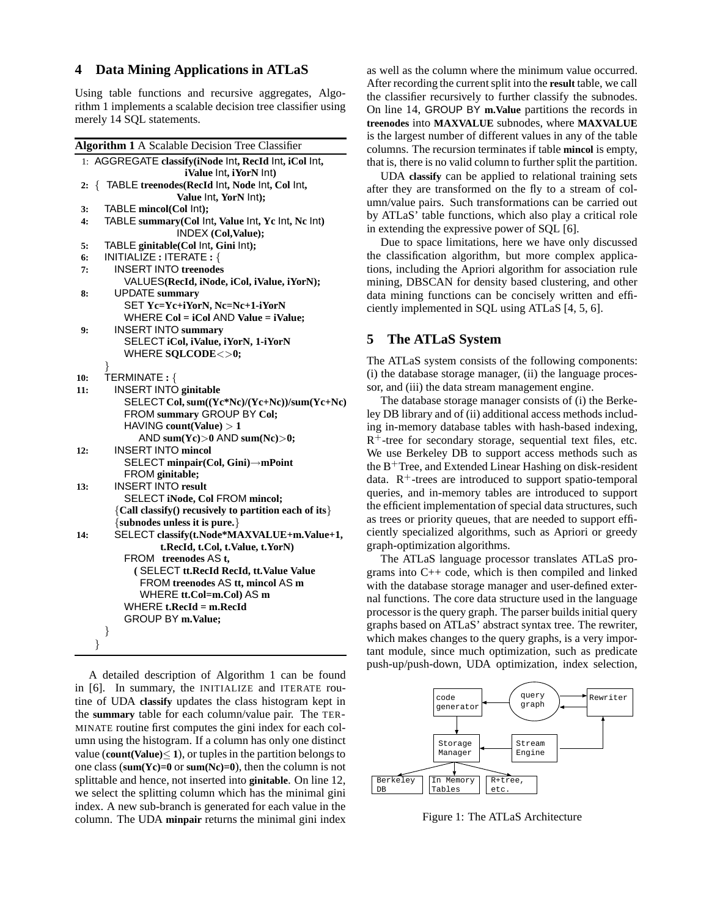## **4 Data Mining Applications in ATLaS**

Using table functions and recursive aggregates, Algorithm 1 implements a scalable decision tree classifier using merely 14 SQL statements.

|     | <b>Algorithm 1 A Scalable Decision Tree Classifier</b> |
|-----|--------------------------------------------------------|
|     | 1: AGGREGATE classify(iNode Int, RecId Int, iCol Int,  |
|     | iValue Int, iYorN Int)                                 |
|     | 2: { TABLE treenodes(RecId Int, Node Int, Col Int,     |
|     | Value Int, YorN Int);                                  |
| 3:  | TABLE mincol(Col Int);                                 |
| 4:  | TABLE summary(Col Int, Value Int, Yc Int, Nc Int)      |
|     | INDEX (Col, Value);                                    |
| 5:  | TABLE ginitable(Col Int, Gini Int);                    |
| 6:  | INITIALIZE: ITERATE: {                                 |
| 7:  | <b>INSERT INTO treenodes</b>                           |
|     | VALUES(RecId, iNode, iCol, iValue, iYorN);             |
| 8:  | <b>UPDATE</b> summary                                  |
|     | SET Yc=Yc+iYorN, Nc=Nc+1-iYorN                         |
|     | WHERE $Col = iCol$ AND Value = iValue;                 |
| 9:  | <b>INSERT INTO summary</b>                             |
|     | SELECT iCol, iValue, iYorN, 1-iYorN                    |
|     | WHERE SQLCODE<>0;                                      |
| 10: | TERMINATE : {                                          |
| 11: | <b>INSERT INTO ginitable</b>                           |
|     | SELECT Col, sum((Yc*Nc)/(Yc+Nc))/sum(Yc+Nc)            |
|     | FROM summary GROUP BY Col;                             |
|     | HAVING count(Value) > 1                                |
|     | AND sum $(Yc) > 0$ AND sum $(Nc) > 0$ ;                |
| 12: | <b>INSERT INTO mincol</b>                              |
|     | SELECT minpair(Col, Gini)→mPoint                       |
|     | FROM ginitable;                                        |
| 13: | <b>INSERT INTO result</b>                              |
|     | SELECT iNode, Col FROM mincol;                         |
|     | {Call classify() recusively to partition each of its}  |
|     | {subnodes unless it is pure.}                          |
| 14: | SELECT classify(t.Node*MAXVALUE+m.Value+1,             |
|     | t.RecId, t.Col, t.Value, t.YorN)                       |
|     | FROM treenodes AS t,                                   |
|     | (SELECT tt.RecId RecId, tt.Value Value                 |
|     | FROM treenodes AS tt, mincol AS m                      |
|     | WHERE tt.Col=m.Col) AS m                               |
|     | WHERE $t$ . RecId = $m$ . RecId                        |
|     | GROUP BY m.Value;                                      |
|     | }                                                      |
|     | }                                                      |

A detailed description of Algorithm 1 can be found in [6]. In summary, the INITIALIZE and ITERATE routine of UDA **classify** updates the class histogram kept in the **summary** table for each column/value pair. The TER-MINATE routine first computes the gini index for each column using the histogram. If a column has only one distinct value ( $count(Value) \leq 1$ ), or tuples in the partition belongs to one class (**sum(Yc)=0** or **sum(Nc)=0**), then the column is not splittable and hence, not inserted into **ginitable**. On line 12, we select the splitting column which has the minimal gini index. A new sub-branch is generated for each value in the column. The UDA **minpair** returns the minimal gini index as well as the column where the minimum value occurred. After recording the currentsplit into the **result** table, we call the classifier recursively to further classify the subnodes. On line 14, GROUP BY **m.Value** partitions the records in **treenodes** into **MAXVALUE** subnodes, where **MAXVALUE** is the largest number of different values in any of the table columns. The recursion terminates if table **mincol** is empty, that is, there is no valid column to further split the partition.

UDA **classify** can be applied to relational training sets after they are transformed on the fly to a stream of column/value pairs. Such transformations can be carried out by ATLaS' table functions, which also play a critical role in extending the expressive power of SQL [6].

Due to space limitations, here we have only discussed the classification algorithm, but more complex applications, including the Apriori algorithm for association rule mining, DBSCAN for density based clustering, and other data mining functions can be concisely written and efficiently implemented in SQL using ATLaS [4, 5, 6].

## **5 The ATLaS System**

The ATLaS system consists of the following components: (i) the database storage manager, (ii) the language processor, and (iii) the data stream management engine.

The database storage manager consists of (i) the Berkeley DB library and of (ii) additional access methods including in-memory database tables with hash-based indexing,  $R^{\bar{+}}$ -tree for secondary storage, sequential text files, etc. We use Berkeley DB to support access methods such as the B <sup>+</sup>Tree, and Extended Linear Hashing on disk-resident data.  $R^+$ -trees are introduced to support spatio-temporal queries, and in-memory tables are introduced to support the efficient implementation of special data structures, such as trees or priority queues, that are needed to support efficiently specialized algorithms, such as Apriori or greedy graph-optimization algorithms.

The ATLaS language processor translates ATLaS programs into C++ code, which is then compiled and linked with the database storage manager and user-defined external functions. The core data structure used in the language processor is the query graph. The parser builds initial query graphs based on ATLaS' abstract syntax tree. The rewriter, which makes changes to the query graphs, is a very important module, since much optimization, such as predicate push-up/push-down, UDA optimization, index selection,



Figure 1: The ATLaS Architecture